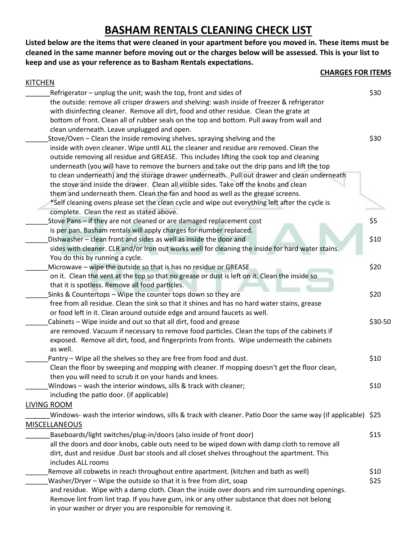## **BASHAM RENTALS CLEANING CHECK LIST**

**Listed below are the items that were cleaned in your apartment before you moved in. These items must be cleaned in the same manner before moving out or the charges below will be assessed. This is your list to keep and use as your reference as to Basham Rentals expectations.**

**CHARGES FOR ITEMS**

| <b>KITCHEN</b>                                                                                               |         |
|--------------------------------------------------------------------------------------------------------------|---------|
| Refrigerator - unplug the unit; wash the top, front and sides of                                             | \$30    |
| the outside: remove all crisper drawers and shelving: wash inside of freezer & refrigerator                  |         |
| with disinfecting cleaner. Remove all dirt, food and other residue. Clean the grate at                       |         |
| bottom of front. Clean all of rubber seals on the top and bottom. Pull away from wall and                    |         |
| clean underneath. Leave unplugged and open.                                                                  |         |
| Stove/Oven - Clean the inside removing shelves, spraying shelving and the                                    | \$30    |
| inside with oven cleaner. Wipe until ALL the cleaner and residue are removed. Clean the                      |         |
| outside removing all residue and GREASE. This includes lifting the cook top and cleaning                     |         |
| underneath (you will have to remove the burners and take out the drip pans and lift the top                  |         |
| to clean underneath) and the storage drawer underneath. Pull out drawer and clean underneath                 |         |
| the stove and inside the drawer. Clean all visible sides. Take off the knobs and clean                       |         |
| them and underneath them. Clean the fan and hood as well as the grease screens.                              |         |
| *Self cleaning ovens please set the clean cycle and wipe out everything left after the cycle is              |         |
| complete. Clean the rest as stated above.                                                                    |         |
| Stove Pans - if they are not cleaned or are damaged replacement cost                                         | \$5     |
| is per pan. Basham rentals will apply charges for number replaced.                                           |         |
| Dishwasher – clean front and sides as well as inside the door and                                            | \$10    |
| sides with cleaner. CLR and/or Iron out works well for cleaning the inside for hard water stains.            |         |
| You do this by running a cycle.                                                                              |         |
| Microwave - wipe the outside so that is has no residue or GREASE                                             | \$20    |
| on it. Clean the vent at the top so that no grease or dust is left on it. Clean the inside so                |         |
| that it is spotless. Remove all food particles.                                                              |         |
| Sinks & Countertops - Wipe the counter tops down so they are                                                 | \$20    |
| free from all residue. Clean the sink so that it shines and has no hard water stains, grease                 |         |
| or food left in it. Clean around outside edge and around faucets as well.                                    |         |
| Cabinets - Wipe inside and out so that all dirt, food and grease                                             | \$30-50 |
| are removed. Vacuum if necessary to remove food particles. Clean the tops of the cabinets if                 |         |
| exposed. Remove all dirt, food, and fingerprints from fronts. Wipe underneath the cabinets                   |         |
| as well.                                                                                                     |         |
| Pantry - Wipe all the shelves so they are free from food and dust.                                           | \$10    |
| Clean the floor by sweeping and mopping with cleaner. If mopping doesn't get the floor clean,                |         |
| then you will need to scrub it on your hands and knees.                                                      |         |
| Windows - wash the interior windows, sills & track with cleaner;                                             | \$10    |
| including the patio door. (if applicable)                                                                    |         |
| <b>LIVING ROOM</b>                                                                                           |         |
| Windows- wash the interior windows, sills & track with cleaner. Patio Door the same way (if applicable) \$25 |         |
| <b>MISCELLANEOUS</b>                                                                                         |         |
| Baseboards/light switches/plug-in/doors (also inside of front door)                                          | \$15    |
| all the doors and door knobs, cable outs need to be wiped down with damp cloth to remove all                 |         |
| dirt, dust and residue .Dust bar stools and all closet shelves throughout the apartment. This                |         |
| includes ALL rooms                                                                                           |         |
| Remove all cobwebs in reach throughout entire apartment. (kitchen and bath as well)                          | \$10    |
| Washer/Dryer - Wipe the outside so that it is free from dirt, soap                                           | \$25    |
| and residue. Wipe with a damp cloth. Clean the inside over doors and rim surrounding openings.               |         |
| Remove lint from lint trap. If you have gum, ink or any other substance that does not belong                 |         |
| in your washer or dryer you are responsible for removing it.                                                 |         |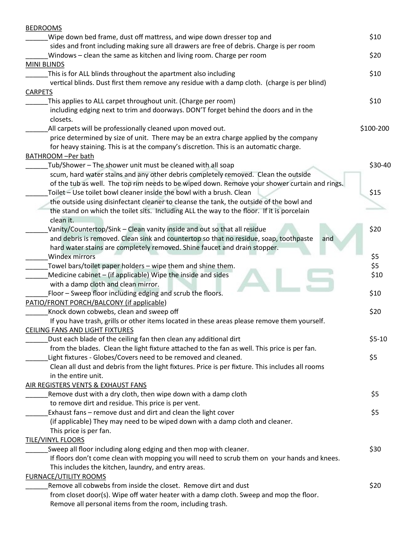| <b>BEDROOMS</b>                                                                                  |           |
|--------------------------------------------------------------------------------------------------|-----------|
| Wipe down bed frame, dust off mattress, and wipe down dresser top and                            | \$10      |
| sides and front including making sure all drawers are free of debris. Charge is per room         |           |
| Windows - clean the same as kitchen and living room. Charge per room                             | \$20      |
| MINI BLINDS                                                                                      |           |
| This is for ALL blinds throughout the apartment also including                                   | \$10      |
| vertical blinds. Dust first them remove any residue with a damp cloth. (charge is per blind)     |           |
| <b>CARPETS</b>                                                                                   |           |
| This applies to ALL carpet throughout unit. (Charge per room)                                    | \$10      |
| including edging next to trim and doorways. DON'T forget behind the doors and in the             |           |
| closets.                                                                                         |           |
| All carpets will be professionally cleaned upon moved out.                                       | \$100-200 |
| price determined by size of unit. There may be an extra charge applied by the company            |           |
| for heavy staining. This is at the company's discretion. This is an automatic charge.            |           |
| <b>BATHROOM -Per bath</b>                                                                        |           |
| Tub/Shower - The shower unit must be cleaned with all soap                                       | \$30-40   |
| scum, hard water stains and any other debris completely removed. Clean the outside               |           |
| of the tub as well. The top rim needs to be wiped down. Remove your shower curtain and rings.    |           |
| Toilet - Use toilet bowl cleaner inside the bowl with a brush. Clean                             | \$15      |
| the outside using disinfectant cleaner to cleanse the tank, the outside of the bowl and          |           |
| the stand on which the toilet sits. Including ALL the way to the floor. If it is porcelain       |           |
| clean it.                                                                                        |           |
| Vanity/Countertop/Sink - Clean vanity inside and out so that all residue                         | \$20      |
| and debris is removed. Clean sink and countertop so that no residue, soap, toothpaste<br>and     |           |
| hard water stains are completely removed. Shine faucet and drain stopper.                        |           |
| Windex mirrors                                                                                   | \$5       |
| Towel bars/toilet paper holders - wipe them and shine them.                                      | \$5       |
| Medicine cabinet - (if applicable) Wipe the inside and sides                                     | \$10      |
| with a damp cloth and clean mirror.                                                              |           |
| Floor - Sweep floor including edging and scrub the floors.                                       | \$10      |
| PATIO/FRONT PORCH/BALCONY (if applicable)                                                        |           |
| Knock down cobwebs, clean and sweep off                                                          | \$20      |
| If you have trash, grills or other items located in these areas please remove them yourself.     |           |
| <b>CEILING FANS AND LIGHT FIXTURES</b>                                                           |           |
| Dust each blade of the ceiling fan then clean any additional dirt                                | $$5-10$   |
| from the blades. Clean the light fixture attached to the fan as well. This price is per fan.     |           |
| Light fixtures - Globes/Covers need to be removed and cleaned.                                   | \$5       |
| Clean all dust and debris from the light fixtures. Price is per fixture. This includes all rooms |           |
| in the entire unit.                                                                              |           |
|                                                                                                  |           |
| AIR REGISTERS VENTS & EXHAUST FANS                                                               | \$5       |
| Remove dust with a dry cloth, then wipe down with a damp cloth                                   |           |
| to remove dirt and residue. This price is per vent.                                              |           |
| Exhaust fans - remove dust and dirt and clean the light cover                                    | \$5       |
| (if applicable) They may need to be wiped down with a damp cloth and cleaner.                    |           |
| This price is per fan.                                                                           |           |
| <b>TILE/VINYL FLOORS</b>                                                                         |           |
| Sweep all floor including along edging and then mop with cleaner.                                | \$30      |
| If floors don't come clean with mopping you will need to scrub them on your hands and knees.     |           |
| This includes the kitchen, laundry, and entry areas.                                             |           |
| <b>FURNACE/UTILITY ROOMS</b>                                                                     |           |
| Remove all cobwebs from inside the closet. Remove dirt and dust                                  | \$20      |
| from closet door(s). Wipe off water heater with a damp cloth. Sweep and mop the floor.           |           |
| Remove all personal items from the room, including trash.                                        |           |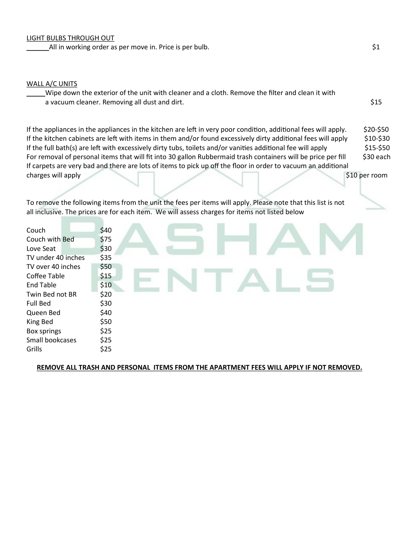$_2$ All in working order as per move in. Price is per bulb.  $\sharp$ 1

## WALL A/C UNITS

Wipe down the exterior of the unit with cleaner and a cloth. Remove the filter and clean it with a vacuum cleaner. Removing all dust and dirt.  $\frac{15}{515}$ 

If the appliances in the appliances in the kitchen are left in very poor condition, additional fees will apply. \$20-\$50 If the kitchen cabinets are left with items in them and/or found excessively dirty additional fees will apply  $$10-$30$ If the full bath(s) are left with excessively dirty tubs, toilets and/or vanities additional fee will apply  $$15-$50$ For removal of personal items that will fit into 30 gallon Rubbermaid trash containers will be price per fill \$30 each If carpets are very bad and there are lots of items to pick up off the floor in order to vacuum an additional charges will apply \$10 per room

To remove the following items from the unit the fees per items will apply. Please note that this list is not all inclusive. The prices are for each item. We will assess charges for items not listed below

| Couch              | \$40 |
|--------------------|------|
| Couch with Bed     | \$75 |
| Love Seat          | \$30 |
| TV under 40 inches | \$35 |
| TV over 40 inches  | \$50 |
| Coffee Table       | \$15 |
| <b>End Table</b>   | \$10 |
| Twin Bed not BR    | \$20 |
| <b>Full Bed</b>    | \$30 |
| Queen Bed          | \$40 |
| King Bed           | \$50 |
| Box springs        | \$25 |
| Small bookcases    | \$25 |
| Grills             | \$25 |

## **REMOVE ALL TRASH AND PERSONAL ITEMS FROM THE APARTMENT FEES WILL APPLY IF NOT REMOVED.**